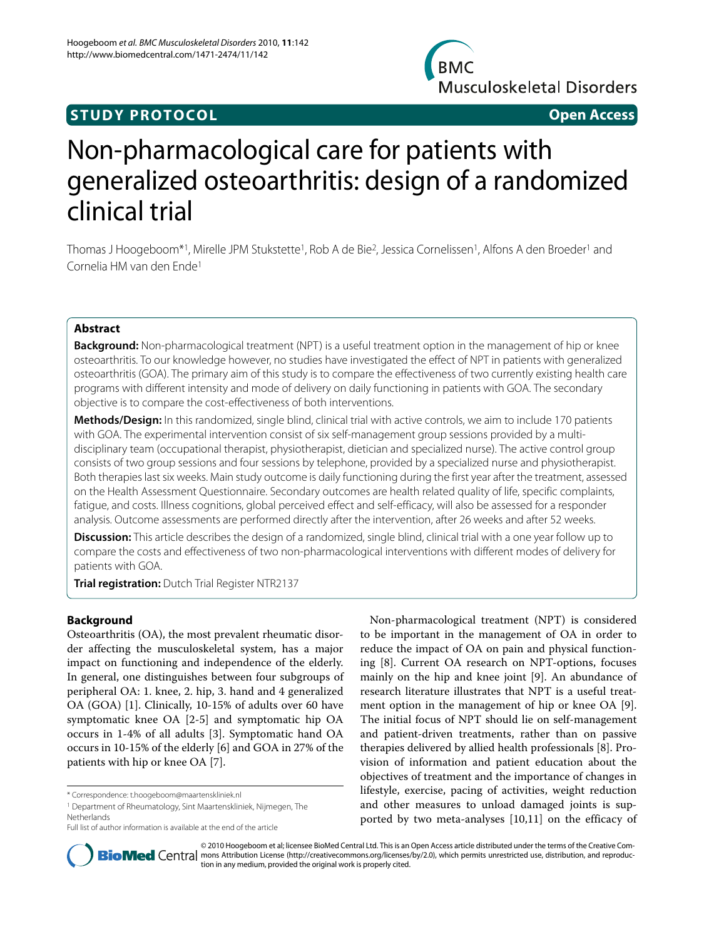## **STUDY PROTOCOL Open Access**

**BMC Musculoskeletal Disorders** 



# Non-pharmacological care for patients with generalized osteoarthritis: design of a randomized clinical trial

Thomas J Hoogeboom\*1, Mirelle JPM Stukstette1, Rob A de Bie2, Jessica Cornelissen1, Alfons A den Broeder1 and Cornelia HM van den Ende1

## **Abstract**

**Background:** Non-pharmacological treatment (NPT) is a useful treatment option in the management of hip or knee osteoarthritis. To our knowledge however, no studies have investigated the effect of NPT in patients with generalized osteoarthritis (GOA). The primary aim of this study is to compare the effectiveness of two currently existing health care programs with different intensity and mode of delivery on daily functioning in patients with GOA. The secondary objective is to compare the cost-effectiveness of both interventions.

**Methods/Design:** In this randomized, single blind, clinical trial with active controls, we aim to include 170 patients with GOA. The experimental intervention consist of six self-management group sessions provided by a multidisciplinary team (occupational therapist, physiotherapist, dietician and specialized nurse). The active control group consists of two group sessions and four sessions by telephone, provided by a specialized nurse and physiotherapist. Both therapies last six weeks. Main study outcome is daily functioning during the first year after the treatment, assessed on the Health Assessment Questionnaire. Secondary outcomes are health related quality of life, specific complaints, fatigue, and costs. Illness cognitions, global perceived effect and self-efficacy, will also be assessed for a responder analysis. Outcome assessments are performed directly after the intervention, after 26 weeks and after 52 weeks.

**Discussion:** This article describes the design of a randomized, single blind, clinical trial with a one year follow up to compare the costs and effectiveness of two non-pharmacological interventions with different modes of delivery for patients with GOA.

**Trial registration:** Dutch Trial Register NTR2137

## **Background**

Osteoarthritis (OA), the most prevalent rheumatic disorder affecting the musculoskeletal system, has a major impact on functioning and independence of the elderly. In general, one distinguishes between four subgroups of peripheral OA: 1. knee, 2. hip, 3. hand and 4 generalized OA (GOA) [[1\]](#page-9-0). Clinically, 10-15% of adults over 60 have symptomatic knee OA [\[2](#page-9-1)-[5\]](#page-9-2) and symptomatic hip OA occurs in 1-4% of all adults [[3\]](#page-9-3). Symptomatic hand OA occurs in 10-15% of the elderly [\[6](#page-9-4)] and GOA in 27% of the patients with hip or knee OA [[7\]](#page-9-5).

1 Department of Rheumatology, Sint Maartenskliniek, Nijmegen, The Netherlands

Non-pharmacological treatment (NPT) is considered to be important in the management of OA in order to reduce the impact of OA on pain and physical functioning [[8\]](#page-9-6). Current OA research on NPT-options, focuses mainly on the hip and knee joint [\[9](#page-9-7)]. An abundance of research literature illustrates that NPT is a useful treatment option in the management of hip or knee OA [\[9](#page-9-7)]. The initial focus of NPT should lie on self-management and patient-driven treatments, rather than on passive therapies delivered by allied health professionals [[8\]](#page-9-6). Provision of information and patient education about the objectives of treatment and the importance of changes in lifestyle, exercise, pacing of activities, weight reduction and other measures to unload damaged joints is supported by two meta-analyses [\[10](#page-9-8)[,11](#page-9-9)] on the efficacy of



© 2010 Hoogeboom et al; licensee BioMed Central Ltd. This is an Open Access article distributed under the terms of the Creative Com-**BioMed** Central mons Attribution License (http://creativecommons.org/licenses/by/2.0), which permits unrestricted use, distribution, and reproduction in any medium, provided the original work is properly cited.

<sup>\*</sup> Correspondence: t.hoogeboom@maartenskliniek.nl

Full list of author information is available at the end of the article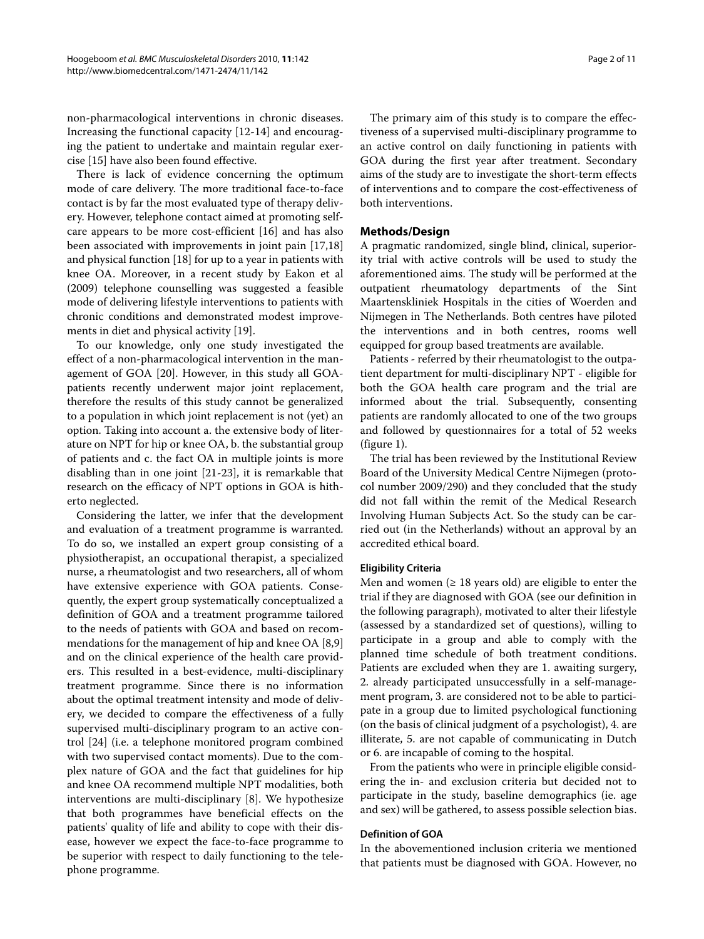non-pharmacological interventions in chronic diseases. Increasing the functional capacity [\[12-](#page-9-10)[14](#page-9-11)] and encouraging the patient to undertake and maintain regular exercise [[15](#page-9-12)] have also been found effective.

There is lack of evidence concerning the optimum mode of care delivery. The more traditional face-to-face contact is by far the most evaluated type of therapy delivery. However, telephone contact aimed at promoting selfcare appears to be more cost-efficient [\[16\]](#page-9-13) and has also been associated with improvements in joint pain [\[17](#page-9-14),[18](#page-9-15)] and physical function [\[18](#page-9-15)] for up to a year in patients with knee OA. Moreover, in a recent study by Eakon et al (2009) telephone counselling was suggested a feasible mode of delivering lifestyle interventions to patients with chronic conditions and demonstrated modest improvements in diet and physical activity [[19\]](#page-9-16).

To our knowledge, only one study investigated the effect of a non-pharmacological intervention in the management of GOA [\[20](#page-9-17)]. However, in this study all GOApatients recently underwent major joint replacement, therefore the results of this study cannot be generalized to a population in which joint replacement is not (yet) an option. Taking into account a. the extensive body of literature on NPT for hip or knee OA, b. the substantial group of patients and c. the fact OA in multiple joints is more disabling than in one joint [[21-](#page-9-18)[23\]](#page-9-19), it is remarkable that research on the efficacy of NPT options in GOA is hitherto neglected.

Considering the latter, we infer that the development and evaluation of a treatment programme is warranted. To do so, we installed an expert group consisting of a physiotherapist, an occupational therapist, a specialized nurse, a rheumatologist and two researchers, all of whom have extensive experience with GOA patients. Consequently, the expert group systematically conceptualized a definition of GOA and a treatment programme tailored to the needs of patients with GOA and based on recommendations for the management of hip and knee OA [\[8](#page-9-6)[,9](#page-9-7)] and on the clinical experience of the health care providers. This resulted in a best-evidence, multi-disciplinary treatment programme. Since there is no information about the optimal treatment intensity and mode of delivery, we decided to compare the effectiveness of a fully supervised multi-disciplinary program to an active control [[24\]](#page-9-20) (i.e. a telephone monitored program combined with two supervised contact moments). Due to the complex nature of GOA and the fact that guidelines for hip and knee OA recommend multiple NPT modalities, both interventions are multi-disciplinary [[8\]](#page-9-6). We hypothesize that both programmes have beneficial effects on the patients' quality of life and ability to cope with their disease, however we expect the face-to-face programme to be superior with respect to daily functioning to the telephone programme.

The primary aim of this study is to compare the effectiveness of a supervised multi-disciplinary programme to an active control on daily functioning in patients with GOA during the first year after treatment. Secondary aims of the study are to investigate the short-term effects of interventions and to compare the cost-effectiveness of both interventions.

## **Methods/Design**

A pragmatic randomized, single blind, clinical, superiority trial with active controls will be used to study the aforementioned aims. The study will be performed at the outpatient rheumatology departments of the Sint Maartenskliniek Hospitals in the cities of Woerden and Nijmegen in The Netherlands. Both centres have piloted the interventions and in both centres, rooms well equipped for group based treatments are available.

Patients - referred by their rheumatologist to the outpatient department for multi-disciplinary NPT - eligible for both the GOA health care program and the trial are informed about the trial. Subsequently, consenting patients are randomly allocated to one of the two groups and followed by questionnaires for a total of 52 weeks (figure [1](#page-2-0)).

The trial has been reviewed by the Institutional Review Board of the University Medical Centre Nijmegen (protocol number 2009/290) and they concluded that the study did not fall within the remit of the Medical Research Involving Human Subjects Act. So the study can be carried out (in the Netherlands) without an approval by an accredited ethical board.

## **Eligibility Criteria**

Men and women ( $\geq 18$  years old) are eligible to enter the trial if they are diagnosed with GOA (see our definition in the following paragraph), motivated to alter their lifestyle (assessed by a standardized set of questions), willing to participate in a group and able to comply with the planned time schedule of both treatment conditions. Patients are excluded when they are 1. awaiting surgery, 2. already participated unsuccessfully in a self-management program, 3. are considered not to be able to participate in a group due to limited psychological functioning (on the basis of clinical judgment of a psychologist), 4. are illiterate, 5. are not capable of communicating in Dutch or 6. are incapable of coming to the hospital.

From the patients who were in principle eligible considering the in- and exclusion criteria but decided not to participate in the study, baseline demographics (ie. age and sex) will be gathered, to assess possible selection bias.

## **Definition of GOA**

In the abovementioned inclusion criteria we mentioned that patients must be diagnosed with GOA. However, no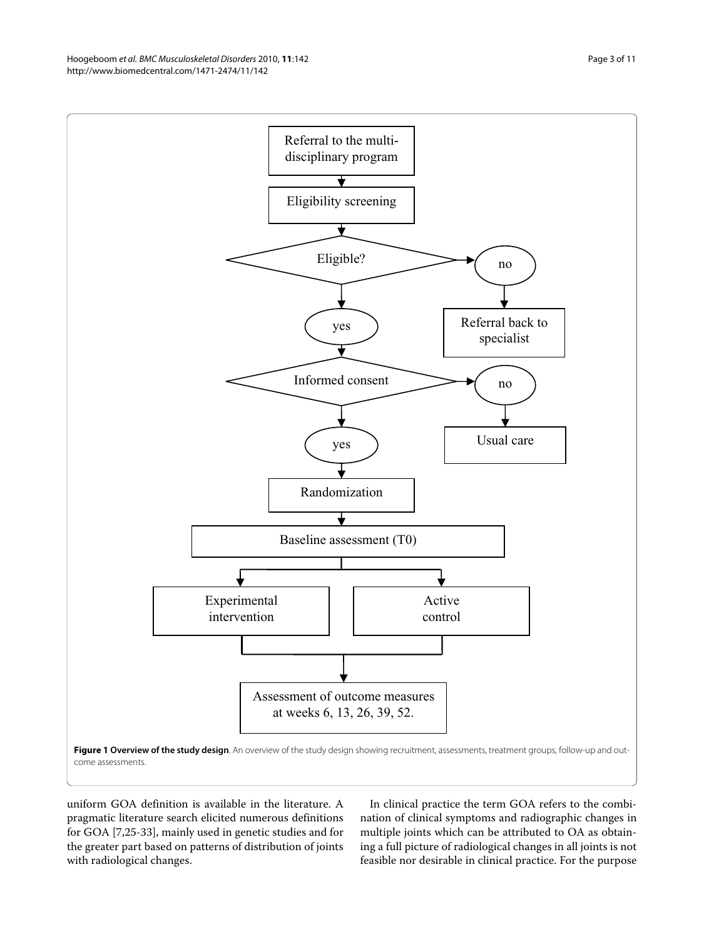Hoogeboom et al. BMC Musculoskeletal Disorders 2010, **11**:142 http://www.biomedcentral.com/1471-2474/11/142

<span id="page-2-0"></span>

uniform GOA definition is available in the literature. A pragmatic literature search elicited numerous definitions for GOA [\[7](#page-9-5)[,25](#page-9-21)-[33\]](#page-9-22), mainly used in genetic studies and for the greater part based on patterns of distribution of joints with radiological changes.

In clinical practice the term GOA refers to the combination of clinical symptoms and radiographic changes in multiple joints which can be attributed to OA as obtaining a full picture of radiological changes in all joints is not feasible nor desirable in clinical practice. For the purpose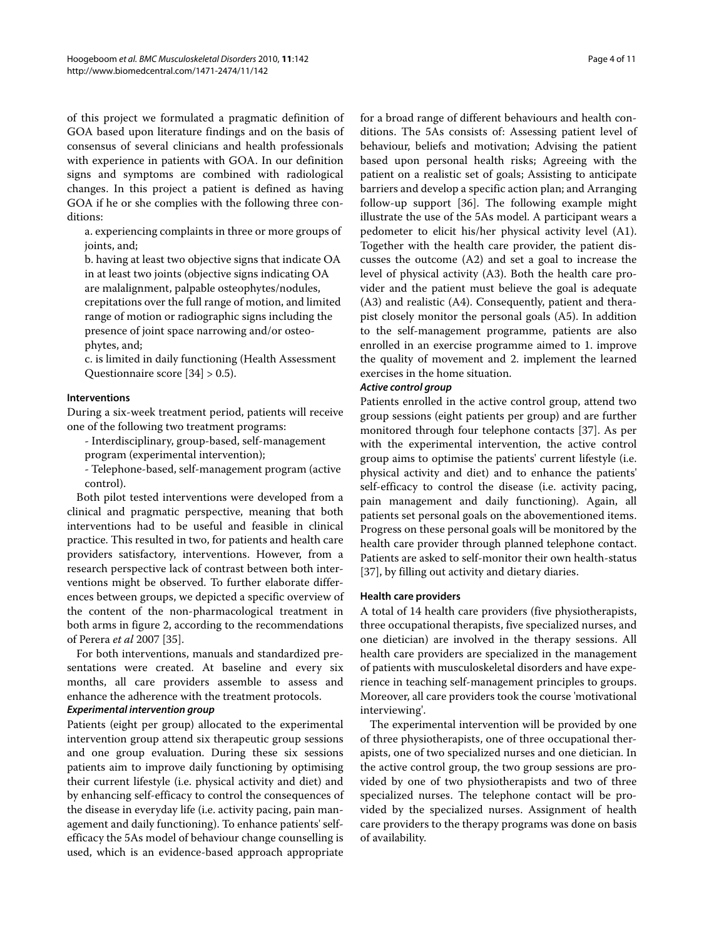of this project we formulated a pragmatic definition of GOA based upon literature findings and on the basis of consensus of several clinicians and health professionals with experience in patients with GOA. In our definition signs and symptoms are combined with radiological changes. In this project a patient is defined as having GOA if he or she complies with the following three conditions:

a. experiencing complaints in three or more groups of joints, and;

b. having at least two objective signs that indicate OA in at least two joints (objective signs indicating OA are malalignment, palpable osteophytes/nodules, crepitations over the full range of motion, and limited range of motion or radiographic signs including the presence of joint space narrowing and/or osteophytes, and;

c. is limited in daily functioning (Health Assessment Questionnaire score [[34](#page-10-0)] > 0.5).

## **Interventions**

During a six-week treatment period, patients will receive one of the following two treatment programs:

- Interdisciplinary, group-based, self-management program (experimental intervention);

- Telephone-based, self-management program (active control).

Both pilot tested interventions were developed from a clinical and pragmatic perspective, meaning that both interventions had to be useful and feasible in clinical practice. This resulted in two, for patients and health care providers satisfactory, interventions. However, from a research perspective lack of contrast between both interventions might be observed. To further elaborate differences between groups, we depicted a specific overview of the content of the non-pharmacological treatment in both arms in figure [2,](#page-4-0) according to the recommendations of Perera *et al* 2007 [\[35](#page-10-1)].

For both interventions, manuals and standardized presentations were created. At baseline and every six months, all care providers assemble to assess and enhance the adherence with the treatment protocols.

## *Experimental intervention group*

Patients (eight per group) allocated to the experimental intervention group attend six therapeutic group sessions and one group evaluation. During these six sessions patients aim to improve daily functioning by optimising their current lifestyle (i.e. physical activity and diet) and by enhancing self-efficacy to control the consequences of the disease in everyday life (i.e. activity pacing, pain management and daily functioning). To enhance patients' selfefficacy the 5As model of behaviour change counselling is used, which is an evidence-based approach appropriate

for a broad range of different behaviours and health conditions. The 5As consists of: Assessing patient level of behaviour, beliefs and motivation; Advising the patient based upon personal health risks; Agreeing with the patient on a realistic set of goals; Assisting to anticipate barriers and develop a specific action plan; and Arranging follow-up support [\[36\]](#page-10-2). The following example might illustrate the use of the 5As model. A participant wears a pedometer to elicit his/her physical activity level (A1). Together with the health care provider, the patient discusses the outcome (A2) and set a goal to increase the level of physical activity (A3). Both the health care provider and the patient must believe the goal is adequate (A3) and realistic (A4). Consequently, patient and therapist closely monitor the personal goals (A5). In addition to the self-management programme, patients are also enrolled in an exercise programme aimed to 1. improve the quality of movement and 2. implement the learned exercises in the home situation.

## *Active control group*

Patients enrolled in the active control group, attend two group sessions (eight patients per group) and are further monitored through four telephone contacts [\[37](#page-10-3)]. As per with the experimental intervention, the active control group aims to optimise the patients' current lifestyle (i.e. physical activity and diet) and to enhance the patients' self-efficacy to control the disease (i.e. activity pacing, pain management and daily functioning). Again, all patients set personal goals on the abovementioned items. Progress on these personal goals will be monitored by the health care provider through planned telephone contact. Patients are asked to self-monitor their own health-status [[37\]](#page-10-3), by filling out activity and dietary diaries.

## **Health care providers**

A total of 14 health care providers (five physiotherapists, three occupational therapists, five specialized nurses, and one dietician) are involved in the therapy sessions. All health care providers are specialized in the management of patients with musculoskeletal disorders and have experience in teaching self-management principles to groups. Moreover, all care providers took the course 'motivational interviewing'.

The experimental intervention will be provided by one of three physiotherapists, one of three occupational therapists, one of two specialized nurses and one dietician. In the active control group, the two group sessions are provided by one of two physiotherapists and two of three specialized nurses. The telephone contact will be provided by the specialized nurses. Assignment of health care providers to the therapy programs was done on basis of availability.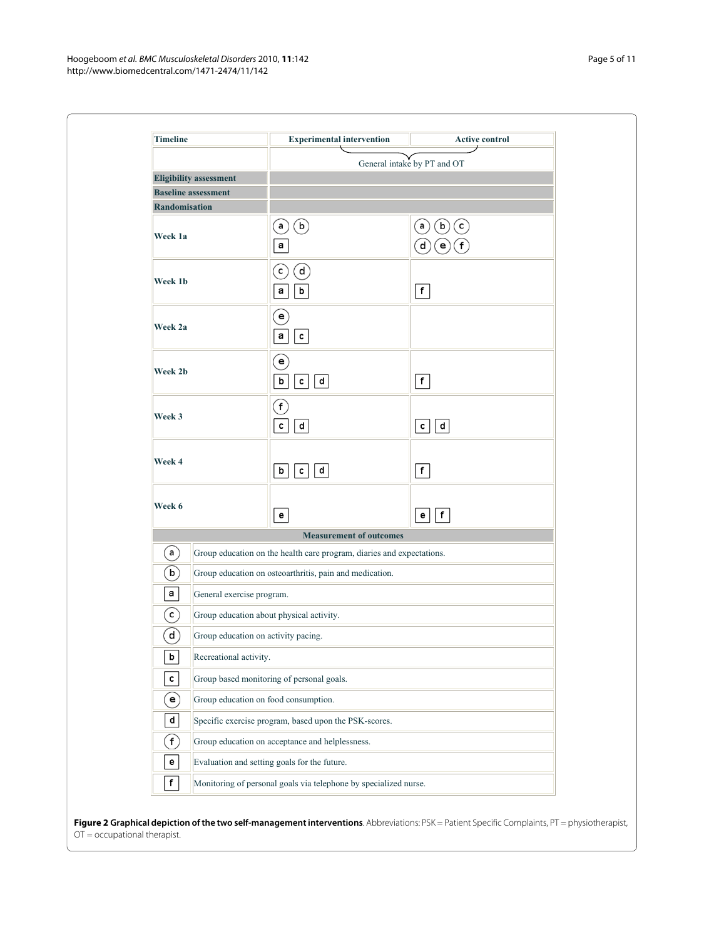<span id="page-4-0"></span>

| <b>Timeline</b>                     |                                          | <b>Experimental intervention</b>                                            | <b>Active control</b>                                                                                                            |  |
|-------------------------------------|------------------------------------------|-----------------------------------------------------------------------------|----------------------------------------------------------------------------------------------------------------------------------|--|
|                                     |                                          | General intake by PT and OT                                                 |                                                                                                                                  |  |
|                                     | <b>Eligibility assessment</b>            |                                                                             |                                                                                                                                  |  |
|                                     | <b>Baseline assessment</b>               |                                                                             |                                                                                                                                  |  |
| <b>Randomisation</b>                |                                          |                                                                             |                                                                                                                                  |  |
| Week 1a                             |                                          | $\binom{b}{b}$<br>$\left( \mathsf{a}\right)$<br>a                           | $\left[\mathsf{b}\right]$<br>$(\mathsf{c})$<br>$\left[ \begin{array}{c} a \end{array} \right]$<br>d<br>$\mathbf{f}$<br>$\bullet$ |  |
| Week 1b                             |                                          | $\bf (d)$<br>$\left( \mathsf{c}\right)$<br>b<br>a                           | f                                                                                                                                |  |
| Week 2a                             |                                          | $\left( \mathsf{e}\right)$<br> c <br>a                                      |                                                                                                                                  |  |
| Week 2b                             |                                          | $\left( \mathbf{e} \right)$<br>$\mathbf{c}$<br>$\overline{\mathsf{d}}$<br>b | f                                                                                                                                |  |
| Week 3                              |                                          | $\left(\mathsf{f}\right)$<br>$\mathsf{d}$<br>$\mathbf{c}$                   | $\mathbf{c}$<br>$\mathsf{d}$                                                                                                     |  |
| Week 4                              |                                          | $\mathbf b$<br> c <br>$\mathsf{d}$                                          | $\overline{f}$                                                                                                                   |  |
| Week 6                              |                                          | $\mathbf{e}$                                                                | f<br>$\mathbf{e}$                                                                                                                |  |
|                                     |                                          | <b>Measurement of outcomes</b>                                              |                                                                                                                                  |  |
| $\left(\widehat{\mathbf{a}}\right)$ |                                          | Group education on the health care program, diaries and expectations.       |                                                                                                                                  |  |
| $\left( \mathsf{b}\right)$          |                                          | Group education on osteoarthritis, pain and medication.                     |                                                                                                                                  |  |
| a                                   | General exercise program.                |                                                                             |                                                                                                                                  |  |
| $\left( \mathsf{c}\right)$          | Group education about physical activity. |                                                                             |                                                                                                                                  |  |
| $\mathsf{d}$                        | Group education on activity pacing.      |                                                                             |                                                                                                                                  |  |
| $\boldsymbol{\mathsf{b}}$           | Recreational activity.                   |                                                                             |                                                                                                                                  |  |
| $\mathbf{c}$                        |                                          | Group based monitoring of personal goals.                                   |                                                                                                                                  |  |
| $\left( \mathsf{e}\right)$          | Group education on food consumption.     |                                                                             |                                                                                                                                  |  |
| d                                   |                                          | Specific exercise program, based upon the PSK-scores.                       |                                                                                                                                  |  |
| $\left(\mathsf{f}\right)$           |                                          | Group education on acceptance and helplessness.                             |                                                                                                                                  |  |
| $\mathbf{e}$                        |                                          | Evaluation and setting goals for the future.                                |                                                                                                                                  |  |
| f                                   |                                          | Monitoring of personal goals via telephone by specialized nurse.            |                                                                                                                                  |  |

**Figure 2 Graphical depiction of the two self-management interventions**. Abbreviations: PSK = Patient Specific Complaints, PT = physiotherapist, OT = occupational therapist.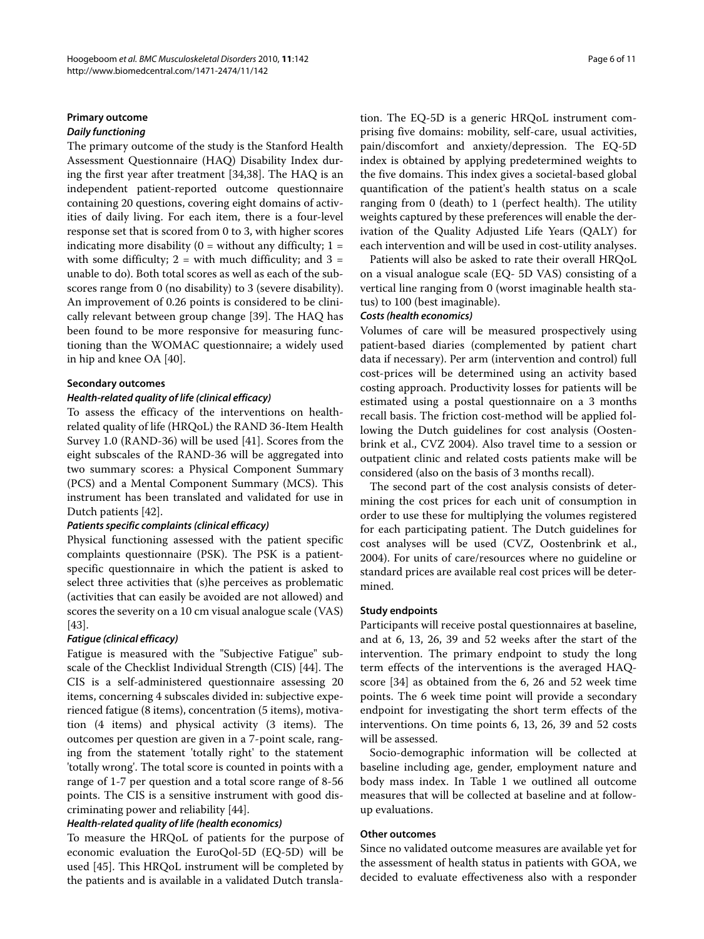## **Primary outcome** *Daily functioning*

The primary outcome of the study is the Stanford Health Assessment Questionnaire (HAQ) Disability Index during the first year after treatment [\[34](#page-10-0)[,38](#page-10-4)]. The HAQ is an independent patient-reported outcome questionnaire containing 20 questions, covering eight domains of activities of daily living. For each item, there is a four-level response set that is scored from 0 to 3, with higher scores indicating more disability ( $0 =$  without any difficulty;  $1 =$ with some difficulty;  $2 =$  with much difficulity; and  $3 =$ unable to do). Both total scores as well as each of the subscores range from 0 (no disability) to 3 (severe disability). An improvement of 0.26 points is considered to be clinically relevant between group change [[39\]](#page-10-5). The HAQ has been found to be more responsive for measuring functioning than the WOMAC questionnaire; a widely used in hip and knee OA [[40\]](#page-10-6).

## **Secondary outcomes**

## *Health-related quality of life (clinical efficacy)*

To assess the efficacy of the interventions on healthrelated quality of life (HRQoL) the RAND 36-Item Health Survey 1.0 (RAND-36) will be used [[41](#page-10-7)]. Scores from the eight subscales of the RAND-36 will be aggregated into two summary scores: a Physical Component Summary (PCS) and a Mental Component Summary (MCS). This instrument has been translated and validated for use in Dutch patients [[42](#page-10-8)].

## *Patients specific complaints (clinical efficacy)*

Physical functioning assessed with the patient specific complaints questionnaire (PSK). The PSK is a patientspecific questionnaire in which the patient is asked to select three activities that (s)he perceives as problematic (activities that can easily be avoided are not allowed) and scores the severity on a 10 cm visual analogue scale (VAS) [[43\]](#page-10-9).

## *Fatigue (clinical efficacy)*

Fatigue is measured with the "Subjective Fatigue" subscale of the Checklist Individual Strength (CIS) [\[44](#page-10-10)]. The CIS is a self-administered questionnaire assessing 20 items, concerning 4 subscales divided in: subjective experienced fatigue (8 items), concentration (5 items), motivation (4 items) and physical activity (3 items). The outcomes per question are given in a 7-point scale, ranging from the statement 'totally right' to the statement 'totally wrong'. The total score is counted in points with a range of 1-7 per question and a total score range of 8-56 points. The CIS is a sensitive instrument with good discriminating power and reliability [[44\]](#page-10-10).

## *Health-related quality of life (health economics)*

To measure the HRQoL of patients for the purpose of economic evaluation the EuroQol-5D (EQ-5D) will be used [[45\]](#page-10-11). This HRQoL instrument will be completed by the patients and is available in a validated Dutch transla-

tion. The EQ-5D is a generic HRQoL instrument comprising five domains: mobility, self-care, usual activities, pain/discomfort and anxiety/depression. The EQ-5D index is obtained by applying predetermined weights to the five domains. This index gives a societal-based global quantification of the patient's health status on a scale ranging from 0 (death) to 1 (perfect health). The utility weights captured by these preferences will enable the derivation of the Quality Adjusted Life Years (QALY) for each intervention and will be used in cost-utility analyses.

Patients will also be asked to rate their overall HRQoL on a visual analogue scale (EQ- 5D VAS) consisting of a vertical line ranging from 0 (worst imaginable health status) to 100 (best imaginable).

## *Costs (health economics)*

Volumes of care will be measured prospectively using patient-based diaries (complemented by patient chart data if necessary). Per arm (intervention and control) full cost-prices will be determined using an activity based costing approach. Productivity losses for patients will be estimated using a postal questionnaire on a 3 months recall basis. The friction cost-method will be applied following the Dutch guidelines for cost analysis (Oostenbrink et al., CVZ 2004). Also travel time to a session or outpatient clinic and related costs patients make will be considered (also on the basis of 3 months recall).

The second part of the cost analysis consists of determining the cost prices for each unit of consumption in order to use these for multiplying the volumes registered for each participating patient. The Dutch guidelines for cost analyses will be used (CVZ, Oostenbrink et al., 2004). For units of care/resources where no guideline or standard prices are available real cost prices will be determined.

## **Study endpoints**

Participants will receive postal questionnaires at baseline, and at 6, 13, 26, 39 and 52 weeks after the start of the intervention. The primary endpoint to study the long term effects of the interventions is the averaged HAQscore [[34\]](#page-10-0) as obtained from the 6, 26 and 52 week time points. The 6 week time point will provide a secondary endpoint for investigating the short term effects of the interventions. On time points 6, 13, 26, 39 and 52 costs will be assessed.

Socio-demographic information will be collected at baseline including age, gender, employment nature and body mass index. In Table 1 we outlined all outcome measures that will be collected at baseline and at followup evaluations.

## **Other outcomes**

Since no validated outcome measures are available yet for the assessment of health status in patients with GOA, we decided to evaluate effectiveness also with a responder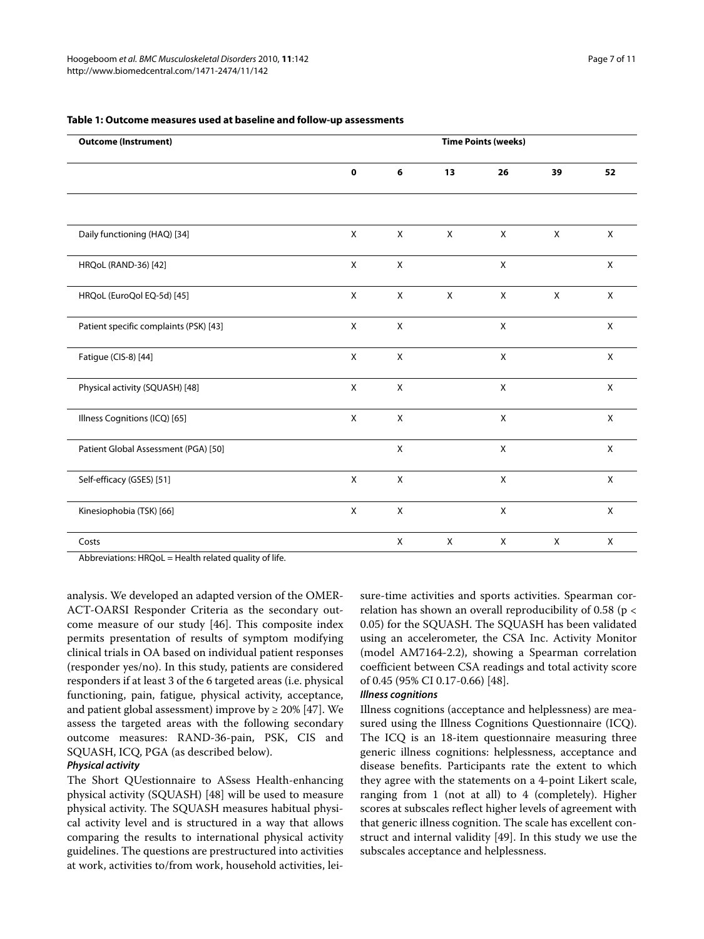| <b>Outcome (Instrument)</b>            |                    | <b>Time Points (weeks)</b> |                |                    |                |                |  |
|----------------------------------------|--------------------|----------------------------|----------------|--------------------|----------------|----------------|--|
|                                        | $\mathbf 0$        | 6                          | 13             | 26                 | 39             | 52             |  |
|                                        |                    |                            |                |                    |                |                |  |
| Daily functioning (HAQ) [34]           | $\pmb{\times}$     | $\pmb{\mathsf{X}}$         | $\pmb{\times}$ | $\pmb{\times}$     | $\pmb{\times}$ | $\pmb{\times}$ |  |
| HRQoL (RAND-36) [42]                   | $\pmb{\mathsf{X}}$ | $\mathsf X$                |                | $\pmb{\mathsf{X}}$ |                | $\pmb{\times}$ |  |
| HRQoL (EuroQol EQ-5d) [45]             | X                  | $\pmb{\mathsf{X}}$         | $\pmb{\times}$ | X                  | X              | X              |  |
| Patient specific complaints (PSK) [43] | $\pmb{\mathsf{X}}$ | $\pmb{\mathsf{X}}$         |                | $\mathsf{X}$       |                | $\pmb{\times}$ |  |
| Fatigue (CIS-8) [44]                   | X                  | X                          |                | X                  |                | X              |  |
| Physical activity (SQUASH) [48]        | $\mathsf{X}$       | $\mathsf X$                |                | $\pmb{\mathsf{X}}$ |                | $\pmb{\times}$ |  |
| Illness Cognitions (ICQ) [65]          | $\mathsf{X}$       | $\mathsf{X}$               |                | $\mathsf{X}$       |                | X              |  |
| Patient Global Assessment (PGA) [50]   |                    | X                          |                | X                  |                | X              |  |
| Self-efficacy (GSES) [51]              | $\pmb{\mathsf{X}}$ | $\mathsf X$                |                | X                  |                | X              |  |
| Kinesiophobia (TSK) [66]               | X                  | X                          |                | X                  |                | X              |  |
| Costs                                  |                    | X                          | X              | X                  | X              | X              |  |

Abbreviations: HRQoL = Health related quality of life.

analysis. We developed an adapted version of the OMER-ACT-OARSI Responder Criteria as the secondary outcome measure of our study [\[46](#page-10-17)]. This composite index permits presentation of results of symptom modifying clinical trials in OA based on individual patient responses (responder yes/no). In this study, patients are considered responders if at least 3 of the 6 targeted areas (i.e. physical functioning, pain, fatigue, physical activity, acceptance, and patient global assessment) improve by  $\geq 20\%$  [[47](#page-10-18)]. We assess the targeted areas with the following secondary outcome measures: RAND-36-pain, PSK, CIS and SQUASH, ICQ, PGA (as described below).

#### *Physical activity*

The Short QUestionnaire to ASsess Health-enhancing physical activity (SQUASH) [[48\]](#page-10-12) will be used to measure physical activity. The SQUASH measures habitual physical activity level and is structured in a way that allows comparing the results to international physical activity guidelines. The questions are prestructured into activities at work, activities to/from work, household activities, leisure-time activities and sports activities. Spearman correlation has shown an overall reproducibility of 0.58 (p < 0.05) for the SQUASH. The SQUASH has been validated using an accelerometer, the CSA Inc. Activity Monitor (model AM7164-2.2), showing a Spearman correlation coefficient between CSA readings and total activity score of 0.45 (95% CI 0.17-0.66) [\[48](#page-10-12)].

#### *Illness cognitions*

Illness cognitions (acceptance and helplessness) are measured using the Illness Cognitions Questionnaire (ICQ). The ICQ is an 18-item questionnaire measuring three generic illness cognitions: helplessness, acceptance and disease benefits. Participants rate the extent to which they agree with the statements on a 4-point Likert scale, ranging from 1 (not at all) to 4 (completely). Higher scores at subscales reflect higher levels of agreement with that generic illness cognition. The scale has excellent construct and internal validity [\[49](#page-10-19)]. In this study we use the subscales acceptance and helplessness.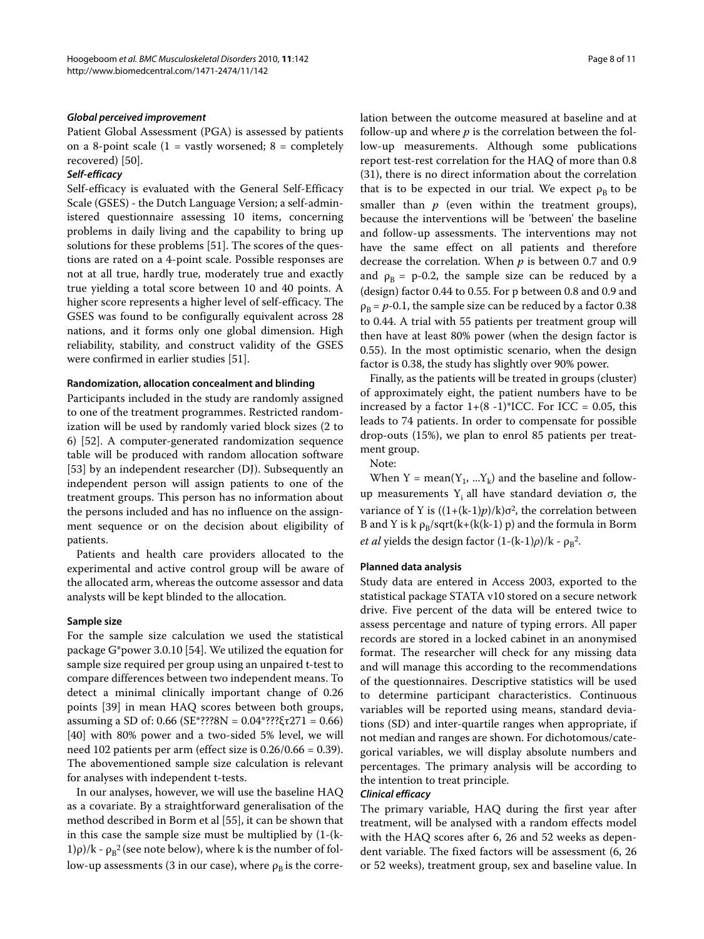## *Global perceived improvement*

Patient Global Assessment (PGA) is assessed by patients on a 8-point scale  $(1 = vastly$  worsened;  $8 = \text{completely}$ recovered) [[50\]](#page-10-14).

## *Self-efficacy*

Self-efficacy is evaluated with the General Self-Efficacy Scale (GSES) - the Dutch Language Version; a self-administered questionnaire assessing 10 items, concerning problems in daily living and the capability to bring up solutions for these problems [\[51\]](#page-10-15). The scores of the questions are rated on a 4-point scale. Possible responses are not at all true, hardly true, moderately true and exactly true yielding a total score between 10 and 40 points. A higher score represents a higher level of self-efficacy. The GSES was found to be configurally equivalent across 28 nations, and it forms only one global dimension. High reliability, stability, and construct validity of the GSES were confirmed in earlier studies [\[51\]](#page-10-15).

#### **Randomization, allocation concealment and blinding**

Participants included in the study are randomly assigned to one of the treatment programmes. Restricted randomization will be used by randomly varied block sizes (2 to 6) [[52\]](#page-10-20). A computer-generated randomization sequence table will be produced with random allocation software [[53\]](#page-10-21) by an independent researcher (DJ). Subsequently an independent person will assign patients to one of the treatment groups. This person has no information about the persons included and has no influence on the assignment sequence or on the decision about eligibility of patients.

Patients and health care providers allocated to the experimental and active control group will be aware of the allocated arm, whereas the outcome assessor and data analysts will be kept blinded to the allocation.

#### **Sample size**

For the sample size calculation we used the statistical package G\*power 3.0.10 [[54](#page-10-22)]. We utilized the equation for sample size required per group using an unpaired t-test to compare differences between two independent means. To detect a minimal clinically important change of 0.26 points [\[39](#page-10-5)] in mean HAQ scores between both groups, assuming a SD of: 0.66 (SE\*???8N =  $0.04$ \*??? $\zeta$ τ271 = 0.66) [[40\]](#page-10-6) with 80% power and a two-sided 5% level, we will need 102 patients per arm (effect size is  $0.26/0.66 = 0.39$ ). The abovementioned sample size calculation is relevant for analyses with independent t-tests.

In our analyses, however, we will use the baseline HAQ as a covariate. By a straightforward generalisation of the method described in Borm et al [[55\]](#page-10-23), it can be shown that in this case the sample size must be multiplied by (1-(k-1)ρ)/k -  $\rho_B^2$  (see note below), where k is the number of follow-up assessments (3 in our case), where  $\rho_B$  is the correlation between the outcome measured at baseline and at follow-up and where  $p$  is the correlation between the follow-up measurements. Although some publications report test-rest correlation for the HAQ of more than 0.8 (31), there is no direct information about the correlation that is to be expected in our trial. We expect  $\rho_{\rm B}$  to be smaller than  $p$  (even within the treatment groups), because the interventions will be 'between' the baseline and follow-up assessments. The interventions may not have the same effect on all patients and therefore decrease the correlation. When *p* is between 0.7 and 0.9 and  $\rho_B$  = p-0.2, the sample size can be reduced by a (design) factor 0.44 to 0.55. For p between 0.8 and 0.9 and  $\rho_B$  = *p*-0.1, the sample size can be reduced by a factor 0.38 to 0.44. A trial with 55 patients per treatment group will then have at least 80% power (when the design factor is 0.55). In the most optimistic scenario, when the design factor is 0.38, the study has slightly over 90% power.

Finally, as the patients will be treated in groups (cluster) of approximately eight, the patient numbers have to be increased by a factor  $1+(8-1)*{\text{ICC}}$ . For ICC = 0.05, this leads to 74 patients. In order to compensate for possible drop-outs (15%), we plan to enrol 85 patients per treatment group.

Note:

When  $Y = mean(Y_1, ... Y_k)$  and the baseline and followup measurements Y<sub>i</sub> all have standard deviation  $σ$ , the variance of Y is  $((1+(k-1)p)/k)\sigma^2$ , the correlation between B and Y is k  $\rho_B$ /sqrt(k+(k(k-1) p) and the formula in Borm *et al* yields the design factor  $(1-(k-1)\rho)/k - \rho_B^2$ .

## **Planned data analysis**

Study data are entered in Access 2003, exported to the statistical package STATA v10 stored on a secure network drive. Five percent of the data will be entered twice to assess percentage and nature of typing errors. All paper records are stored in a locked cabinet in an anonymised format. The researcher will check for any missing data and will manage this according to the recommendations of the questionnaires. Descriptive statistics will be used to determine participant characteristics. Continuous variables will be reported using means, standard deviations (SD) and inter-quartile ranges when appropriate, if not median and ranges are shown. For dichotomous/categorical variables, we will display absolute numbers and percentages. The primary analysis will be according to the intention to treat principle.

## *Clinical efficacy*

The primary variable, HAQ during the first year after treatment, will be analysed with a random effects model with the HAQ scores after 6, 26 and 52 weeks as dependent variable. The fixed factors will be assessment (6, 26 or 52 weeks), treatment group, sex and baseline value. In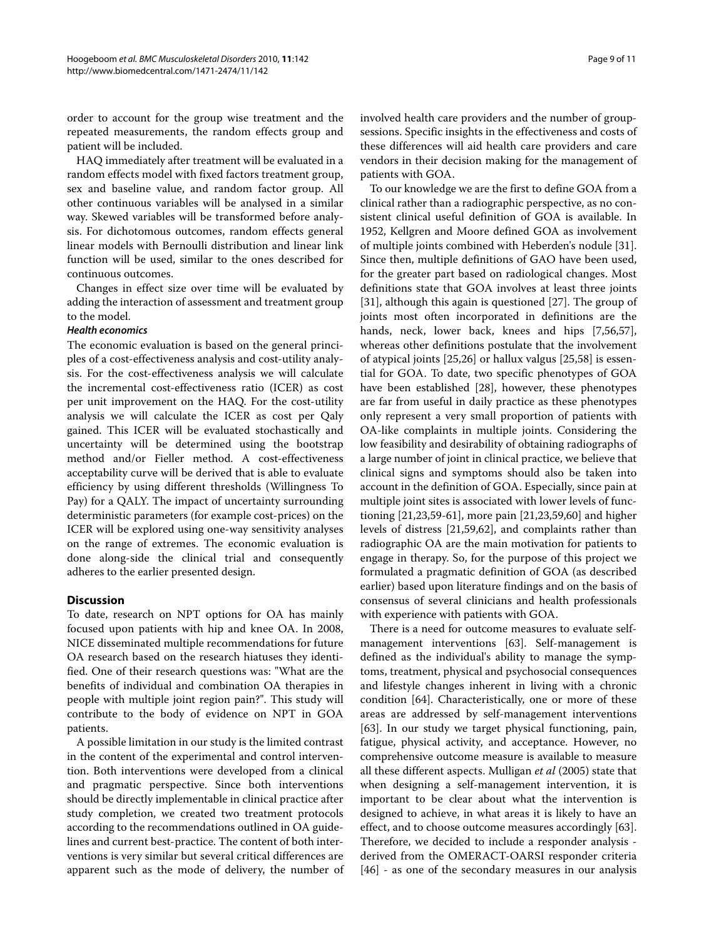order to account for the group wise treatment and the repeated measurements, the random effects group and patient will be included.

HAQ immediately after treatment will be evaluated in a random effects model with fixed factors treatment group, sex and baseline value, and random factor group. All other continuous variables will be analysed in a similar way. Skewed variables will be transformed before analysis. For dichotomous outcomes, random effects general linear models with Bernoulli distribution and linear link function will be used, similar to the ones described for continuous outcomes.

Changes in effect size over time will be evaluated by adding the interaction of assessment and treatment group to the model.

## *Health economics*

The economic evaluation is based on the general principles of a cost-effectiveness analysis and cost-utility analysis. For the cost-effectiveness analysis we will calculate the incremental cost-effectiveness ratio (ICER) as cost per unit improvement on the HAQ. For the cost-utility analysis we will calculate the ICER as cost per Qaly gained. This ICER will be evaluated stochastically and uncertainty will be determined using the bootstrap method and/or Fieller method. A cost-effectiveness acceptability curve will be derived that is able to evaluate efficiency by using different thresholds (Willingness To Pay) for a QALY. The impact of uncertainty surrounding deterministic parameters (for example cost-prices) on the ICER will be explored using one-way sensitivity analyses on the range of extremes. The economic evaluation is done along-side the clinical trial and consequently adheres to the earlier presented design.

## **Discussion**

To date, research on NPT options for OA has mainly focused upon patients with hip and knee OA. In 2008, NICE disseminated multiple recommendations for future OA research based on the research hiatuses they identified. One of their research questions was: "What are the benefits of individual and combination OA therapies in people with multiple joint region pain?". This study will contribute to the body of evidence on NPT in GOA patients.

A possible limitation in our study is the limited contrast in the content of the experimental and control intervention. Both interventions were developed from a clinical and pragmatic perspective. Since both interventions should be directly implementable in clinical practice after study completion, we created two treatment protocols according to the recommendations outlined in OA guidelines and current best-practice. The content of both interventions is very similar but several critical differences are apparent such as the mode of delivery, the number of involved health care providers and the number of groupsessions. Specific insights in the effectiveness and costs of these differences will aid health care providers and care vendors in their decision making for the management of patients with GOA.

To our knowledge we are the first to define GOA from a clinical rather than a radiographic perspective, as no consistent clinical useful definition of GOA is available. In 1952, Kellgren and Moore defined GOA as involvement of multiple joints combined with Heberden's nodule [\[31](#page-9-23)]. Since then, multiple definitions of GAO have been used, for the greater part based on radiological changes. Most definitions state that GOA involves at least three joints [[31\]](#page-9-23), although this again is questioned [[27\]](#page-9-24). The group of joints most often incorporated in definitions are the hands, neck, lower back, knees and hips [\[7](#page-9-5)[,56](#page-10-24)[,57](#page-10-25)], whereas other definitions postulate that the involvement of atypical joints [\[25](#page-9-21)[,26](#page-9-25)] or hallux valgus [\[25](#page-9-21)[,58](#page-10-26)] is essential for GOA. To date, two specific phenotypes of GOA have been established [[28\]](#page-9-26), however, these phenotypes are far from useful in daily practice as these phenotypes only represent a very small proportion of patients with OA-like complaints in multiple joints. Considering the low feasibility and desirability of obtaining radiographs of a large number of joint in clinical practice, we believe that clinical signs and symptoms should also be taken into account in the definition of GOA. Especially, since pain at multiple joint sites is associated with lower levels of functioning [[21,](#page-9-18)[23,](#page-9-19)[59](#page-10-27)[-61](#page-10-28)], more pain [[21,](#page-9-18)[23,](#page-9-19)[59,](#page-10-27)[60\]](#page-10-29) and higher levels of distress [[21](#page-9-18),[59](#page-10-27),[62](#page-10-30)], and complaints rather than radiographic OA are the main motivation for patients to engage in therapy. So, for the purpose of this project we formulated a pragmatic definition of GOA (as described earlier) based upon literature findings and on the basis of consensus of several clinicians and health professionals with experience with patients with GOA.

There is a need for outcome measures to evaluate selfmanagement interventions [\[63](#page-10-31)]. Self-management is defined as the individual's ability to manage the symptoms, treatment, physical and psychosocial consequences and lifestyle changes inherent in living with a chronic condition [\[64](#page-10-32)]. Characteristically, one or more of these areas are addressed by self-management interventions [[63\]](#page-10-31). In our study we target physical functioning, pain, fatigue, physical activity, and acceptance. However, no comprehensive outcome measure is available to measure all these different aspects. Mulligan *et al* (2005) state that when designing a self-management intervention, it is important to be clear about what the intervention is designed to achieve, in what areas it is likely to have an effect, and to choose outcome measures accordingly [\[63](#page-10-31)]. Therefore, we decided to include a responder analysis derived from the OMERACT-OARSI responder criteria [[46\]](#page-10-17) - as one of the secondary measures in our analysis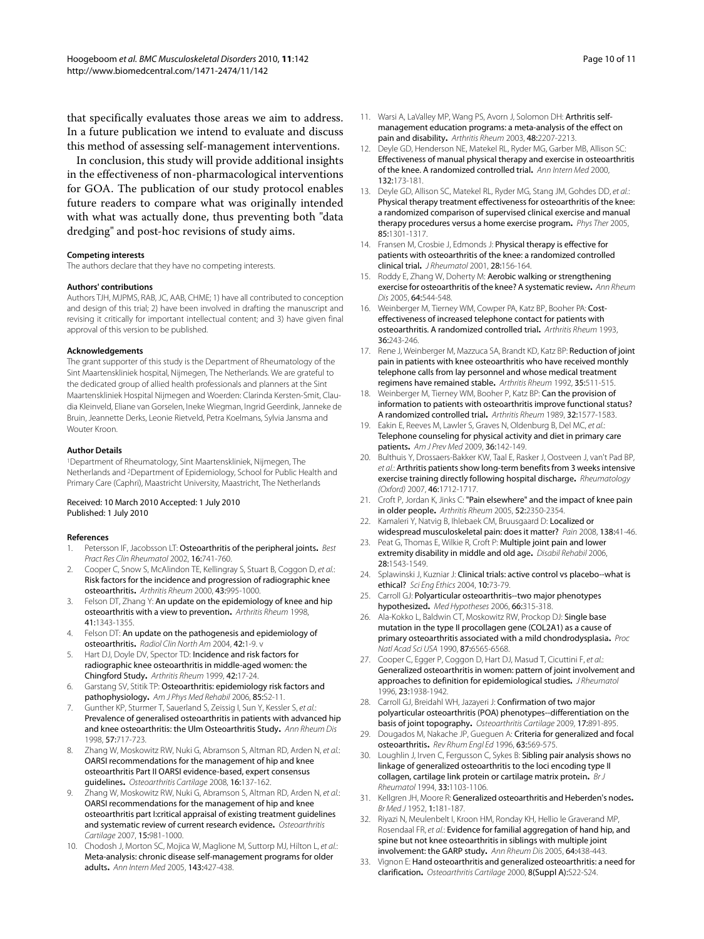that specifically evaluates those areas we aim to address. In a future publication we intend to evaluate and discuss this method of assessing self-management interventions.

In conclusion, this study will provide additional insights in the effectiveness of non-pharmacological interventions for GOA. The publication of our study protocol enables future readers to compare what was originally intended with what was actually done, thus preventing both "data dredging" and post-hoc revisions of study aims.

#### **Competing interests**

The authors declare that they have no competing interests.

#### **Authors' contributions**

Authors TJH, MJPMS, RAB, JC, AAB, CHME; 1) have all contributed to conception and design of this trial; 2) have been involved in drafting the manuscript and revising it critically for important intellectual content; and 3) have given final approval of this version to be published.

#### **Acknowledgements**

The grant supporter of this study is the Department of Rheumatology of the Sint Maartenskliniek hospital, Nijmegen, The Netherlands. We are grateful to the dedicated group of allied health professionals and planners at the Sint Maartenskliniek Hospital Nijmegen and Woerden: Clarinda Kersten-Smit, Claudia Kleinveld, Eliane van Gorselen, Ineke Wiegman, Ingrid Geerdink, Janneke de Bruin, Jeannette Derks, Leonie Rietveld, Petra Koelmans, Sylvia Jansma and Wouter Kroon.

#### **Author Details**

1Department of Rheumatology, Sint Maartenskliniek, Nijmegen, The Netherlands and 2Department of Epidemiology, School for Public Health and Primary Care (Caphri), Maastricht University, Maastricht, The Netherlands

#### Received: 10 March 2010 Accepted: 1 July 2010 Published: 1 July 2010

#### **References**

- <span id="page-9-0"></span>Petersson IF, Jacobsson LT: Osteoarthritis of the peripheral joints[.](http://www.ncbi.nlm.nih.gov/entrez/query.fcgi?cmd=Retrieve&db=PubMed&dopt=Abstract&list_uids=12473271) Best Pract Res Clin Rheumatol 2002, 16:741-760.
- <span id="page-9-1"></span>2. Cooper C, Snow S, McAlindon TE, Kellingray S, Stuart B, Coggon D, et al.: Risk factors for the incidence and progression of radiographic knee osteoarthritis**[.](http://www.ncbi.nlm.nih.gov/entrez/query.fcgi?cmd=Retrieve&db=PubMed&dopt=Abstract&list_uids=10817551)** Arthritis Rheum 2000, 43:995-1000.
- <span id="page-9-3"></span>3. Felson DT, Zhang Y: An update on the epidemiology of knee and hip osteoarthritis with a view to prevention**.** Arthritis Rheum 1998, 41:1343-1355.
- 4. Felson DT: An update on the pathogenesis and epidemiology of osteoarthritis**[.](http://www.ncbi.nlm.nih.gov/entrez/query.fcgi?cmd=Retrieve&db=PubMed&dopt=Abstract&list_uids=15049520)** Radiol Clin North Am 2004, 42:1-9. v
- <span id="page-9-2"></span>5. Hart DJ, Doyle DV, Spector TD: Incidence and risk factors for radiographic knee osteoarthritis in middle-aged women: the Chingford Study**.** Arthritis Rheum 1999, 42:17-24.
- <span id="page-9-4"></span>6. Garstang SV, Stitik TP: Osteoarthritis: epidemiology risk factors and pathophysiology**[.](http://www.ncbi.nlm.nih.gov/entrez/query.fcgi?cmd=Retrieve&db=PubMed&dopt=Abstract&list_uids=17079976)** Am J Phys Med Rehabil 2006, 85:S2-11.
- <span id="page-9-5"></span>7. Gunther KP, Sturmer T, Sauerland S, Zeissig I, Sun Y, Kessler S, et al.: Prevalence of generalised osteoarthritis in patients with advanced hip and knee osteoarthritis: the Ulm Osteoarthritis Study**.** Ann Rheum Dis 1998, 57:717-723.
- <span id="page-9-6"></span>8. Zhang W, Moskowitz RW, Nuki G, Abramson S, Altman RD, Arden N, et al.: OARSI recommendations for the management of hip and knee osteoarthritis Part II OARSI evidence-based, expert consensus guidelines**.** Osteoarthritis Cartilage 2008, 16:137-162.
- <span id="page-9-7"></span>9. Zhang W, Moskowitz RW, Nuki G, Abramson S, Altman RD, Arden N, et al.: OARSI recommendations for the management of hip and knee osteoarthritis part I:critical appraisal of existing treatment guidelines and systematic review of current research evidence**.** Osteoarthritis Cartilage 2007, 15:981-1000.
- <span id="page-9-8"></span>10. Chodosh J, Morton SC, Mojica W, Maglione M, Suttorp MJ, Hilton L, et al.: Meta-analysis: chronic disease self-management programs for older adults**.** Ann Intern Med 2005, 143:427-438.
- <span id="page-9-9"></span>11. Warsi A, LaValley MP, Wang PS, Avorn J, Solomon DH: Arthritis selfmanagement education programs: a meta-analysis of the effect on pain and disability**.** Arthritis Rheum 2003, 48:2207-2213.
- <span id="page-9-10"></span>12. Deyle GD, Henderson NE, Matekel RL, Ryder MG, Garber MB, Allison SC: Effectiveness of manual physical therapy and exercise in osteoarthritis of the knee. A randomized controlled trial**.** Ann Intern Med 2000, 132:173-181.
- 13. Deyle GD, Allison SC, Matekel RL, Ryder MG, Stang JM, Gohdes DD, et al.: Physical therapy treatment effectiveness for osteoarthritis of the knee: a randomized comparison of supervised clinical exercise and manual therapy procedures versus a home exercise program**.** Phys Ther 2005, 85:1301-1317.
- <span id="page-9-11"></span>14. Fransen M, Crosbie J, Edmonds J: Physical therapy is effective for patients with osteoarthritis of the knee: a randomized controlled clinical trial**.** J Rheumatol 2001, 28:156-164.
- <span id="page-9-12"></span>15. Roddy E, Zhang W, Doherty M: Aerobic walking or strengthening exercise for osteoarthritis of the knee? A systematic review**.** Ann Rheum Dis 2005, 64:544-548.
- <span id="page-9-13"></span>16. Weinberger M, Tierney WM, Cowper PA, Katz BP, Booher PA: Costeffectiveness of increased telephone contact for patients with osteoarthritis. A randomized controlled trial**.** Arthritis Rheum 1993, 36:243-246.
- <span id="page-9-14"></span>17. Rene J, Weinberger M, Mazzuca SA, Brandt KD, Katz BP: Reduction of joint pain in patients with knee osteoarthritis who have received monthly telephone calls from lay personnel and whose medical treatment regimens have remained stable**[.](http://www.ncbi.nlm.nih.gov/entrez/query.fcgi?cmd=Retrieve&db=PubMed&dopt=Abstract&list_uids=1575787)** Arthritis Rheum 1992, 35:511-515.
- <span id="page-9-15"></span>18. Weinberger M, Tierney WM, Booher P, Katz BP: Can the provision of information to patients with osteoarthritis improve functional status? A randomized controlled trial**.** Arthritis Rheum 1989, 32:1577-1583.
- <span id="page-9-16"></span>19. Eakin E, Reeves M, Lawler S, Graves N, Oldenburg B, Del MC, et al.: Telephone counseling for physical activity and diet in primary care patients**.** Am J Prev Med 2009, 36:142-149.
- <span id="page-9-17"></span>20. Bulthuis Y, Drossaers-Bakker KW, Taal E, Rasker J, Oostveen J, van't Pad BP, et al.: Arthritis patients show long-term benefits from 3 weeks intensive exercise training directly following hospital discharge**.** Rheumatology (Oxford) 2007, 46:1712-1717.
- <span id="page-9-18"></span>21. Croft P, Jordan K, Jinks C: "Pain elsewhere" and the impact of knee pain in older people**.** Arthritis Rheum 2005, 52:2350-2354.
- 22. Kamaleri Y, Natvig B, Ihlebaek CM, Bruusgaard D: Localized or widespread musculoskeletal pain: does it matter? Pain 2008, 138:41-46.
- <span id="page-9-19"></span>23. Peat G, Thomas E, Wilkie R, Croft P: Multiple joint pain and lower extremity disability in middle and old age**.** Disabil Rehabil 2006, 28:1543-1549.
- <span id="page-9-20"></span>24. Splawinski J, Kuzniar J: Clinical trials: active control vs placebo--what is ethical? Sci Eng Ethics 2004, 10:73-79.
- <span id="page-9-21"></span>25. Carroll GJ: Polyarticular osteoarthritis--two major phenotypes hypothesized**.** Med Hypotheses 2006, 66:315-318.
- <span id="page-9-25"></span>26. Ala-Kokko L, Baldwin CT, Moskowitz RW, Prockop DJ: Single base mutation in the type II procollagen gene (COL2A1) as a cause of primary osteoarthritis associated with a mild chondrodysplasia**.** Proc Natl Acad Sci USA 1990, 87:6565-6568.
- <span id="page-9-24"></span>27. Cooper C, Egger P, Coggon D, Hart DJ, Masud T, Cicuttini F, et al.: Generalized osteoarthritis in women: pattern of joint involvement and approaches to definition for epidemiological studies**[.](http://www.ncbi.nlm.nih.gov/entrez/query.fcgi?cmd=Retrieve&db=PubMed&dopt=Abstract&list_uids=8923371)** J Rheumatol 1996, 23:1938-1942.
- <span id="page-9-26"></span>28. Carroll GJ, Breidahl WH, Jazayeri J: Confirmation of two major polyarticular osteoarthritis (POA) phenotypes--differentiation on the basis of joint topography**.** Osteoarthritis Cartilage 2009, 17:891-895.
- 29. Dougados M, Nakache JP, Gueguen A: Criteria for generalized and focal osteoarthritis**[.](http://www.ncbi.nlm.nih.gov/entrez/query.fcgi?cmd=Retrieve&db=PubMed&dopt=Abstract&list_uids=8938865)** Rev Rhum Engl Ed 1996, 63:569-575.
- 30. Loughlin J, Irven C, Fergusson C, Sykes B: Sibling pair analysis shows no linkage of generalized osteoarthritis to the loci encoding type II collagen, cartilage link protein or cartilage matrix protein**.** Br J Rheumatol 1994, 33:1103-1106.
- <span id="page-9-23"></span>31. Kellgren JH, Moore R: Generalized osteoarthritis and Heberden's nodes**.** Br Med J 1952, 1:181-187.
- 32. Riyazi N, Meulenbelt I, Kroon HM, Ronday KH, Hellio le Graverand MP, Rosendaal FR, et al.: Evidence for familial aggregation of hand hip, and spine but not knee osteoarthritis in siblings with multiple joint involvement: the GARP study**[.](http://www.ncbi.nlm.nih.gov/entrez/query.fcgi?cmd=Retrieve&db=PubMed&dopt=Abstract&list_uids=15458958)** Ann Rheum Dis 2005, 64:438-443.
- <span id="page-9-22"></span>33. Vignon E: Hand osteoarthritis and generalized osteoarthritis: a need for clarification**.** Osteoarthritis Cartilage 2000, 8(Suppl A):S22-S24.